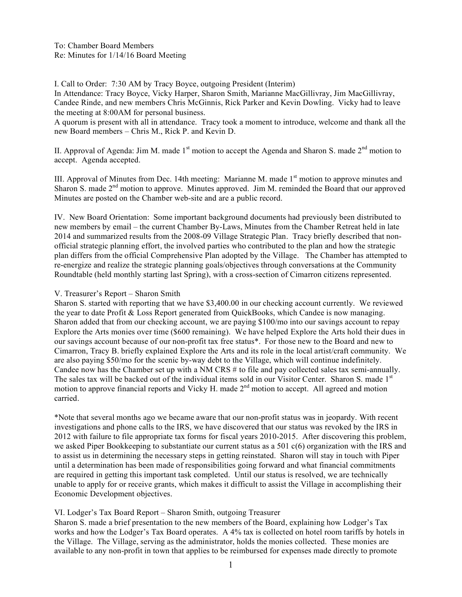To: Chamber Board Members Re: Minutes for 1/14/16 Board Meeting

I. Call to Order: 7:30 AM by Tracy Boyce, outgoing President (Interim)

In Attendance: Tracy Boyce, Vicky Harper, Sharon Smith, Marianne MacGillivray, Jim MacGillivray, Candee Rinde, and new members Chris McGinnis, Rick Parker and Kevin Dowling. Vicky had to leave the meeting at 8:00AM for personal business.

A quorum is present with all in attendance. Tracy took a moment to introduce, welcome and thank all the new Board members – Chris M., Rick P. and Kevin D.

II. Approval of Agenda: Jim M. made  $1<sup>st</sup>$  motion to accept the Agenda and Sharon S. made  $2<sup>nd</sup>$  motion to accept. Agenda accepted.

III. Approval of Minutes from Dec. 14th meeting: Marianne M. made 1<sup>st</sup> motion to approve minutes and Sharon S. made  $2<sup>nd</sup>$  motion to approve. Minutes approved. Jim M. reminded the Board that our approved Minutes are posted on the Chamber web-site and are a public record.

IV. New Board Orientation: Some important background documents had previously been distributed to new members by email – the current Chamber By-Laws, Minutes from the Chamber Retreat held in late 2014 and summarized results from the 2008-09 Village Strategic Plan. Tracy briefly described that nonofficial strategic planning effort, the involved parties who contributed to the plan and how the strategic plan differs from the official Comprehensive Plan adopted by the Village. The Chamber has attempted to re-energize and realize the strategic planning goals/objectives through conversations at the Community Roundtable (held monthly starting last Spring), with a cross-section of Cimarron citizens represented.

### V. Treasurer's Report – Sharon Smith

Sharon S. started with reporting that we have \$3,400.00 in our checking account currently. We reviewed the year to date Profit & Loss Report generated from QuickBooks, which Candee is now managing. Sharon added that from our checking account, we are paying \$100/mo into our savings account to repay Explore the Arts monies over time (\$600 remaining). We have helped Explore the Arts hold their dues in our savings account because of our non-profit tax free status\*. For those new to the Board and new to Cimarron, Tracy B. briefly explained Explore the Arts and its role in the local artist/craft community. We are also paying \$50/mo for the scenic by-way debt to the Village, which will continue indefinitely. Candee now has the Chamber set up with a NM CRS # to file and pay collected sales tax semi-annually. The sales tax will be backed out of the individual items sold in our Visitor Center. Sharon S. made 1<sup>st</sup> motion to approve financial reports and Vicky H. made 2<sup>nd</sup> motion to accept. All agreed and motion carried.

\*Note that several months ago we became aware that our non-profit status was in jeopardy. With recent investigations and phone calls to the IRS, we have discovered that our status was revoked by the IRS in 2012 with failure to file appropriate tax forms for fiscal years 2010-2015. After discovering this problem, we asked Piper Bookkeeping to substantiate our current status as a 501 c(6) organization with the IRS and to assist us in determining the necessary steps in getting reinstated. Sharon will stay in touch with Piper until a determination has been made of responsibilities going forward and what financial commitments are required in getting this important task completed. Until our status is resolved, we are technically unable to apply for or receive grants, which makes it difficult to assist the Village in accomplishing their Economic Development objectives.

# VI. Lodger's Tax Board Report – Sharon Smith, outgoing Treasurer

Sharon S. made a brief presentation to the new members of the Board, explaining how Lodger's Tax works and how the Lodger's Tax Board operates. A 4% tax is collected on hotel room tariffs by hotels in the Village. The Village, serving as the administrator, holds the monies collected. These monies are available to any non-profit in town that applies to be reimbursed for expenses made directly to promote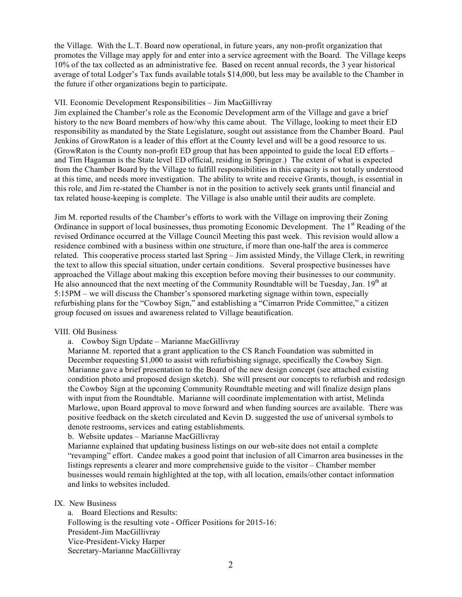the Village. With the L.T. Board now operational, in future years, any non-profit organization that promotes the Village may apply for and enter into a service agreement with the Board. The Village keeps 10% of the tax collected as an administrative fee. Based on recent annual records, the 3 year historical average of total Lodger's Tax funds available totals \$14,000, but less may be available to the Chamber in the future if other organizations begin to participate.

### VII. Economic Development Responsibilities – Jim MacGillivray

Jim explained the Chamber's role as the Economic Development arm of the Village and gave a brief history to the new Board members of how/why this came about. The Village, looking to meet their ED responsibility as mandated by the State Legislature, sought out assistance from the Chamber Board. Paul Jenkins of GrowRaton is a leader of this effort at the County level and will be a good resource to us. (GrowRaton is the County non-profit ED group that has been appointed to guide the local ED efforts – and Tim Hagaman is the State level ED official, residing in Springer.) The extent of what is expected from the Chamber Board by the Village to fulfill responsibilities in this capacity is not totally understood at this time, and needs more investigation. The ability to write and receive Grants, though, is essential in this role, and Jim re-stated the Chamber is not in the position to actively seek grants until financial and tax related house-keeping is complete. The Village is also unable until their audits are complete.

Jim M. reported results of the Chamber's efforts to work with the Village on improving their Zoning Ordinance in support of local businesses, thus promoting Economic Development. The  $1<sup>st</sup>$  Reading of the revised Ordinance occurred at the Village Council Meeting this past week. This revision would allow a residence combined with a business within one structure, if more than one-half the area is commerce related. This cooperative process started last Spring – Jim assisted Mindy, the Village Clerk, in rewriting the text to allow this special situation, under certain conditions. Several prospective businesses have approached the Village about making this exception before moving their businesses to our community. He also announced that the next meeting of the Community Roundtable will be Tuesday, Jan.  $19<sup>th</sup>$  at 5:15PM – we will discuss the Chamber's sponsored marketing signage within town, especially refurbishing plans for the "Cowboy Sign," and establishing a "Cimarron Pride Committee," a citizen group focused on issues and awareness related to Village beautification.

# VIII. Old Business

a. Cowboy Sign Update – Marianne MacGillivray

Marianne M. reported that a grant application to the CS Ranch Foundation was submitted in December requesting \$1,000 to assist with refurbishing signage, specifically the Cowboy Sign. Marianne gave a brief presentation to the Board of the new design concept (see attached existing condition photo and proposed design sketch). She will present our concepts to refurbish and redesign the Cowboy Sign at the upcoming Community Roundtable meeting and will finalize design plans with input from the Roundtable. Marianne will coordinate implementation with artist, Melinda Marlowe, upon Board approval to move forward and when funding sources are available. There was positive feedback on the sketch circulated and Kevin D. suggested the use of universal symbols to denote restrooms, services and eating establishments.

b. Website updates – Marianne MacGillivray

Marianne explained that updating business listings on our web-site does not entail a complete "revamping" effort. Candee makes a good point that inclusion of all Cimarron area businesses in the listings represents a clearer and more comprehensive guide to the visitor – Chamber member businesses would remain highlighted at the top, with all location, emails/other contact information and links to websites included.

IX. New Business

a. Board Elections and Results: Following is the resulting vote - Officer Positions for 2015-16: President-Jim MacGillivray Vice-President-Vicky Harper Secretary-Marianne MacGillivray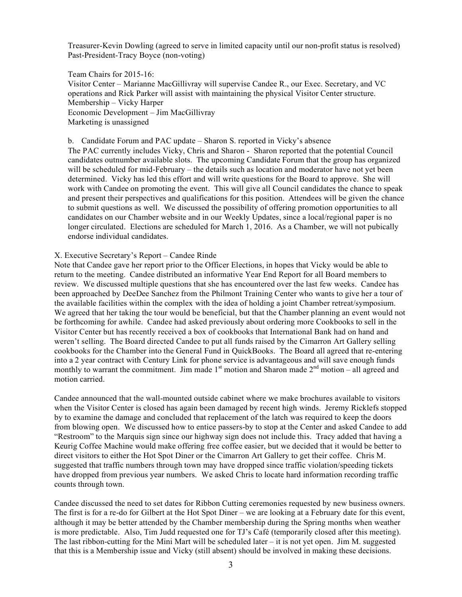Treasurer-Kevin Dowling (agreed to serve in limited capacity until our non-profit status is resolved) Past-President-Tracy Boyce (non-voting)

Team Chairs for 2015-16: Visitor Center – Marianne MacGillivray will supervise Candee R., our Exec. Secretary, and VC operations and Rick Parker will assist with maintaining the physical Visitor Center structure. Membership – Vicky Harper Economic Development – Jim MacGillivray Marketing is unassigned

b. Candidate Forum and PAC update – Sharon S. reported in Vicky's absence The PAC currently includes Vicky, Chris and Sharon - Sharon reported that the potential Council candidates outnumber available slots. The upcoming Candidate Forum that the group has organized will be scheduled for mid-February – the details such as location and moderator have not yet been determined. Vicky has led this effort and will write questions for the Board to approve. She will work with Candee on promoting the event. This will give all Council candidates the chance to speak and present their perspectives and qualifications for this position. Attendees will be given the chance to submit questions as well. We discussed the possibility of offering promotion opportunities to all candidates on our Chamber website and in our Weekly Updates, since a local/regional paper is no longer circulated. Elections are scheduled for March 1, 2016. As a Chamber, we will not pubically endorse individual candidates.

#### X. Executive Secretary's Report – Candee Rinde

Note that Candee gave her report prior to the Officer Elections, in hopes that Vicky would be able to return to the meeting. Candee distributed an informative Year End Report for all Board members to review. We discussed multiple questions that she has encountered over the last few weeks. Candee has been approached by DeeDee Sanchez from the Philmont Training Center who wants to give her a tour of the available facilities within the complex with the idea of holding a joint Chamber retreat/symposium. We agreed that her taking the tour would be beneficial, but that the Chamber planning an event would not be forthcoming for awhile. Candee had asked previously about ordering more Cookbooks to sell in the Visitor Center but has recently received a box of cookbooks that International Bank had on hand and weren't selling. The Board directed Candee to put all funds raised by the Cimarron Art Gallery selling cookbooks for the Chamber into the General Fund in QuickBooks. The Board all agreed that re-entering into a 2 year contract with Century Link for phone service is advantageous and will save enough funds monthly to warrant the commitment. Jim made  $1<sup>st</sup>$  motion and Sharon made  $2<sup>nd</sup>$  motion – all agreed and motion carried.

Candee announced that the wall-mounted outside cabinet where we make brochures available to visitors when the Visitor Center is closed has again been damaged by recent high winds. Jeremy Ricklefs stopped by to examine the damage and concluded that replacement of the latch was required to keep the doors from blowing open. We discussed how to entice passers-by to stop at the Center and asked Candee to add "Restroom" to the Marquis sign since our highway sign does not include this. Tracy added that having a Keurig Coffee Machine would make offering free coffee easier, but we decided that it would be better to direct visitors to either the Hot Spot Diner or the Cimarron Art Gallery to get their coffee. Chris M. suggested that traffic numbers through town may have dropped since traffic violation/speeding tickets have dropped from previous year numbers. We asked Chris to locate hard information recording traffic counts through town.

Candee discussed the need to set dates for Ribbon Cutting ceremonies requested by new business owners. The first is for a re-do for Gilbert at the Hot Spot Diner – we are looking at a February date for this event, although it may be better attended by the Chamber membership during the Spring months when weather is more predictable. Also, Tim Judd requested one for TJ's Café (temporarily closed after this meeting). The last ribbon-cutting for the Mini Mart will be scheduled later – it is not yet open. Jim M. suggested that this is a Membership issue and Vicky (still absent) should be involved in making these decisions.